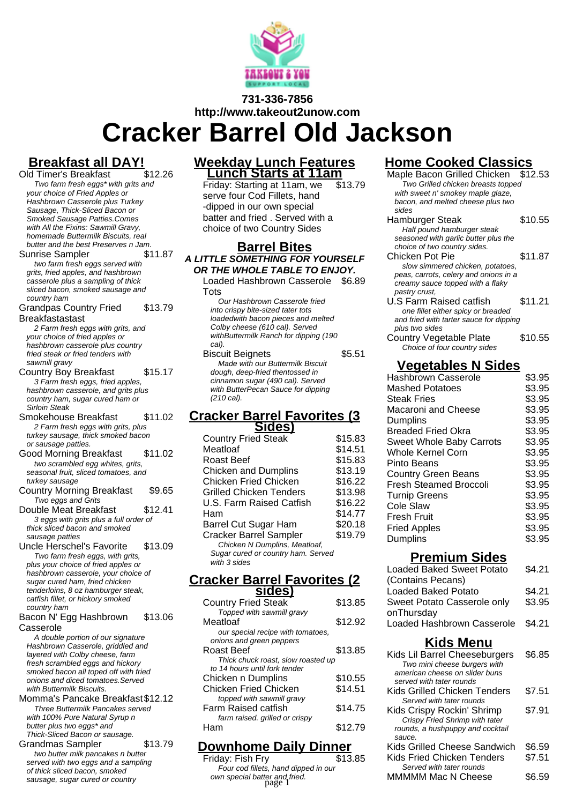

#### **731-336-7856 http://www.takeout2unow.com**

# **Cracker Barrel Old Jackson**

# **Breakfast all DAY!**

- Old Timer's Breakfast Two farm fresh eggs\* with grits and your choice of Fried Apples or Hashbrown Casserole plus Turkey Sausage, Thick-Sliced Bacon or Smoked Sausage Patties.Comes with All the Fixins: Sawmill Gravy. homemade Buttermilk Biscuits, real butter and the best Preserves n Jam.
- Sunrise Sampler \$11.87 two farm fresh eggs served with grits, fried apples, and hashbrown casserole plus a sampling of thick sliced bacon, smoked sausage and country ham
- Grandpas Country Fried **Breakfastastast** \$13.79
- 2 Farm fresh eggs with grits, and your choice of fried apples or hashbrown casserole plus country fried steak or fried tenders with sawmill gravy
- Country Boy Breakfast \$15.17 3 Farm fresh eggs, fried apples, hashbrown casserole, and grits plus country ham, sugar cured ham or Sirloin Steak
- Smokehouse Breakfast \$11.02 2 Farm fresh eggs with grits, plus turkey sausage, thick smoked bacon or sausage patties.
- Good Morning Breakfast \$11.02 two scrambled egg whites, grits, seasonal fruit, sliced tomatoes, and turkey sausage
- Country Morning Breakfast \$9.65 Two eggs and Grits
- Double Meat Breakfast \$12.41 3 eggs with grits plus a full order of thick sliced bacon and smoked sausage patties
- Uncle Herschel's Favorite \$13.09 Two farm fresh eggs, with grits, plus your choice of fried apples or hashbrown casserole, your choice of sugar cured ham, fried chicken tenderloins, 8 oz hamburger steak, catfish fillet, or hickory smoked country ham

#### Bacon N' Egg Hashbrown Casserole \$13.06

A double portion of our signature Hashbrown Casserole, griddled and layered with Colby cheese, farm fresh scrambled eggs and hickory smoked bacon all toped off with fried onions and diced tomatoes.Served with Buttermilk Biscuits.

#### Momma's Pancake Breakfast\$12.12 Three Buttermilk Pancakes served with 100% Pure Natural Syrup n

- butter plus two eggs\* and Thick-Sliced Bacon or sausage.
- Grandmas Sampler \$13.79 two butter milk pancakes n butter served with two eggs and a sampling of thick sliced bacon, smoked sausage, sugar cured or country

#### **Weekday Lunch Features Lunch Starts at 11am**

Friday: Starting at 11am, we serve four Cod Fillets, hand -dipped in our own special batter and fried . Served with a choice of two Country Sides \$13.79

#### **Barrel Bites A LITTLE SOMETHING FOR YOURSELF OR THE WHOLE TABLE TO ENJOY.**

Loaded Hashbrown Casserole \$6.89 **Tots** 

Our Hashbrown Casserole fried into crispy bite-sized tater tots loadedwith bacon pieces and melted Colby cheese (610 cal). Served withButtermilk Ranch for dipping (190 cal).

Biscuit Beignets **\$5.51** Made with our Buttermilk Biscuit dough, deep-fried thentossed in cinnamon sugar (490 cal). Served with ButterPecan Sauce for dipping (210 cal).

#### **Cracker Barrel Favorites (3 Sides)**

| <b>Country Fried Steak</b>         | \$15.83 |
|------------------------------------|---------|
| Meatloaf                           | \$14.51 |
| Roast Beef                         | \$15.83 |
| <b>Chicken and Dumplins</b>        | \$13.19 |
| <b>Chicken Fried Chicken</b>       | \$16.22 |
| Grilled Chicken Tenders            | \$13.98 |
| U.S. Farm Raised Catfish           | \$16.22 |
| Ham                                | \$14.77 |
| Barrel Cut Sugar Ham               | \$20.18 |
| <b>Cracker Barrel Sampler</b>      | \$19.79 |
| Chicken N Dumplins, Meatloaf,      |         |
| Sugar cured or country ham. Served |         |
| with 3 sides                       |         |

#### **Cracker Barrel Favorites (2 sides)**

| <b>Country Fried Steak</b>         | \$13.85 |
|------------------------------------|---------|
| Topped with sawmill gravy          |         |
| Meatloaf                           | \$12.92 |
| our special recipe with tomatoes,  |         |
| onions and green peppers           |         |
| Roast Beef                         | \$13.85 |
| Thick chuck roast, slow roasted up |         |
| to 14 hours until fork tender      |         |
| Chicken n Dumplins                 | \$10.55 |
| <b>Chicken Fried Chicken</b>       | \$14.51 |
| topped with sawmill gravy          |         |
| Farm Raised catfish                | \$14.75 |
| farm raised. grilled or crispy     |         |
|                                    | \$12.79 |
|                                    |         |

## **Downhome Daily Dinner**

Friday: Fish Fry Four cod fillets, hand dipped in our own special batter and fried. **Fig. 20. Solution Section** MMMMM Mac N Cheese  $$6.59$ <br>page 1

### **Home Cooked Classics**

| <b>INIIIC PROPICA MIDIS</b>             |         |
|-----------------------------------------|---------|
| Maple Bacon Grilled Chicken             | \$12.53 |
| Two Grilled chicken breasts topped      |         |
| with sweet n' smokey maple glaze,       |         |
| bacon, and melted cheese plus two       |         |
| sides                                   |         |
| Hamburger Steak                         | \$10.55 |
| Half pound hamburger steak              |         |
| seasoned with garlic butter plus the    |         |
| choice of two country sides.            |         |
| Chicken Pot Pie                         | \$11.87 |
| slow simmered chicken, potatoes,        |         |
| peas, carrots, celery and onions in a   |         |
| creamy sauce topped with a flaky        |         |
| pastry crust.                           |         |
| U.S Farm Raised catfish                 | \$11.21 |
| one fillet either spicy or breaded      |         |
| and fried with tarter sauce for dipping |         |
| plus two sides                          |         |
| Country Vegetable Plate                 | \$10.55 |
| Choice of four country sides            |         |
| \/^~^^+^bl^^                            |         |

| <b>Vegetables N Sides</b>       |        |
|---------------------------------|--------|
| <b>Hashbrown Casserole</b>      | \$3.95 |
| Mashed Potatoes                 | \$3.95 |
| <b>Steak Fries</b>              | \$3.95 |
| Macaroni and Cheese             | \$3.95 |
| Dumplins                        | \$3.95 |
| <b>Breaded Fried Okra</b>       | \$3.95 |
| <b>Sweet Whole Baby Carrots</b> | \$3.95 |
| <b>Whole Kernel Corn</b>        | \$3.95 |
| Pinto Beans                     | \$3.95 |
| <b>Country Green Beans</b>      | \$3.95 |
| <b>Fresh Steamed Broccoli</b>   | \$3.95 |
| <b>Turnip Greens</b>            | \$3.95 |
| Cole Slaw                       | \$3.95 |
| <b>Fresh Fruit</b>              | \$3.95 |
| <b>Fried Apples</b>             | \$3.95 |
| Dumplins                        | \$3.95 |

#### **Premium Sides**

| .                                 |        |
|-----------------------------------|--------|
| Loaded Baked Sweet Potato         | \$4.21 |
| (Contains Pecans)                 |        |
| Loaded Baked Potato               | \$4.21 |
| Sweet Potato Casserole only       | \$3.95 |
| onThursday                        |        |
| Loaded Hashbrown Casserole \$4.21 |        |
|                                   |        |
| <b>Kids Menu</b>                  |        |
| Kids Lil Barrel Cheeseburgers     | \$6.85 |
| Two mini cheese burgers with      |        |
| american cheese on slider buns    |        |
| $\alpha$ an vod with totor roundo |        |

| served with tater rounds         |        |
|----------------------------------|--------|
| Kids Grilled Chicken Tenders     | \$7.51 |
| Served with tater rounds         |        |
| Kids Crispy Rockin' Shrimp       | \$7.91 |
| Crispy Fried Shrimp with tater   |        |
| rounds, a hushpuppy and cocktail |        |
|                                  |        |

| sauce.                       |        |
|------------------------------|--------|
| Kids Grilled Cheese Sandwich | \$6.59 |
| Kids Fried Chicken Tenders   | \$7.51 |
| Served with tater rounds     |        |
| MMMMM Mac N Cheese           | \$6.59 |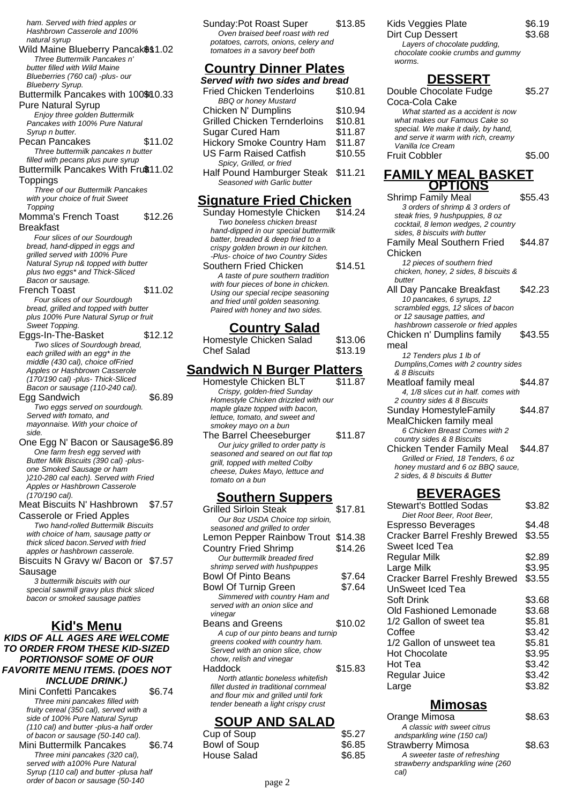ham. Served with fried apples or Hashbrown Casserole and 100% natural syrup

Wild Maine Blueberry Pancak\$\$1.02 Three Buttermilk Pancakes n' butter filled with Wild Maine

Blueberries (760 cal) -plus- our Blueberry Syrup. Buttermilk Pancakes with 100% 10.33 Pure Natural Syrup Enjoy three golden Buttermilk

Pancakes with 100% Pure Natural Syrup n butter. Pecan Pancakes \$11.02

- Three buttermilk pancakes n butter filled with pecans plus pure syrup
- Buttermilk Pancakes With Fruß11.02 Toppings

Three of our Buttermilk Pancakes with your choice of fruit Sweet Topping

Momma's French Toast Breakfast \$12.26

Four slices of our Sourdough bread, hand-dipped in eggs and grilled served with 100% Pure Natural Syrup n& topped with butter plus two eggs\* and Thick-Sliced Bacon or sausage.

- French Toast \$11.02 Four slices of our Sourdough bread, grilled and topped with butter plus 100% Pure Natural Syrup or fruit Sweet Topping.
- Eggs-In-The-Basket \$12.12 Two slices of Sourdough bread, each grilled with an egg<sup>\*</sup> in the middle (430 cal), choice ofFried Apples or Hashbrown Casserole (170/190 cal) -plus- Thick-Sliced Bacon or sausage (110-240 cal).

Egg Sandwich \$6.89

Two eggs served on sourdough. Served with tomato, and mayonnaise. With your choice of side.

One Egg N' Bacon or Sausage\$6.89 One farm fresh egg served with Butter Milk Biscuits (390 cal) -plusone Smoked Sausage or ham )210-280 cal each). Served with Fried Apples or Hashbrown Casserole (170/190 cal).

Meat Biscuits N' Hashbrown Casserole or Fried Apples \$7.57

Two hand-rolled Buttermilk Biscuits with choice of ham, sausage patty or thick sliced bacon.Served with fried apples or hashbrown casserole.

Biscuits N Gravy w/ Bacon or \$7.57 Sausage

3 buttermilk biscuits with our special sawmill gravy plus thick sliced bacon or smoked sausage patties

#### **Kid's Menu KIDS OF ALL AGES ARE WELCOME TO ORDER FROM THESE KID-SIZED PORTIONSOF SOME OF OUR**

**FAVORITE MENU ITEMS. (DOES NOT INCLUDE DRINK.)**

| וויוש בטשבטוו                           |        |
|-----------------------------------------|--------|
| Mini Confetti Pancakes                  | \$6.74 |
| Three mini pancakes filled with         |        |
| fruity cereal (350 cal), served with a  |        |
| side of 100% Pure Natural Syrup         |        |
| (110 cal) and butter -plus-a half order |        |
| of bacon or sausage (50-140 cal).       |        |
| Mini Buttermilk Pancakes                | \$6.74 |
| Three mini pancakes (320 cal),          |        |
| served with a100% Pure Natural          |        |
| Syrup (110 cal) and butter -plusa half  |        |
| order of bacon or sausage (50-140       |        |
|                                         |        |

Sunday:Pot Roast Super \$13.85 Oven braised beef roast with red potatoes, carrots, onions, celery and tomatoes in a savory beef both

### **Country Dinner Plates**

| Served with two sides and bread     |         |
|-------------------------------------|---------|
| <b>Fried Chicken Tenderloins</b>    | \$10.81 |
| <b>BBQ</b> or honey Mustard         |         |
| Chicken N' Dumplins                 | \$10.94 |
| <b>Grilled Chicken Ternderloins</b> | \$10.81 |
| Sugar Cured Ham                     | \$11.87 |
| <b>Hickory Smoke Country Ham</b>    | \$11.87 |
| <b>US Farm Raised Catfish</b>       | \$10.55 |
| Spicy, Grilled, or fried            |         |
| Half Pound Hamburger Steak \$11.21  |         |
| Seasoned with Garlic butter         |         |
|                                     |         |

### **Signature Fried Chicken**

Sunday Homestyle Chicken \$14.24 Two boneless chicken breast hand-dipped in our special buttermilk batter, breaded & deep fried to a crispy golden brown in our kitchen. -Plus- choice of two Country Sides Southern Fried Chicken \$14.51 A taste of pure southern tradition with four pieces of bone in chicken. Using our special recipe seasoning and fried until golden seasoning. Paired with honey and two sides.

### **Country Salad**

| Homestyle Chicken Salad | \$13.06 |
|-------------------------|---------|
| Chef Salad              | \$13.19 |

### **Sandwich N Burger Platters**

Homestyle Chicken BLT \$11.87 Crispy, golden-fried Sunday Homestyle Chicken drizzled with our maple glaze topped with bacon, lettuce, tomato, and sweet and smokey mayo on a bun The Barrel Cheeseburger \$11.87 Our juicy grilled to order patty is seasoned and seared on out flat top grill, topped with melted Colby cheese, Dukes Mayo, lettuce and tomato on a bun

### **Southern Suppers**

| Grilled Sirloin Steak                 | \$17.81 |
|---------------------------------------|---------|
| Our 8oz USDA Choice top sirloin,      |         |
| seasoned and grilled to order         |         |
| Lemon Pepper Rainbow Trout            | \$14.38 |
| <b>Country Fried Shrimp</b>           | \$14.26 |
| Our buttermilk breaded fired          |         |
| shrimp served with hushpuppes         |         |
| <b>Bowl Of Pinto Beans</b>            | \$7.64  |
| <b>Bowl Of Turnip Green</b>           | \$7.64  |
| Simmered with country Ham and         |         |
| served with an onion slice and        |         |
| vinegar                               |         |
| Beans and Greens                      | \$10.02 |
| A cup of our pinto beans and turnip   |         |
| greens cooked with country ham.       |         |
| Served with an onion slice, chow      |         |
| chow, relish and vinegar              |         |
| Haddock                               | \$15.83 |
| North atlantic boneless whitefish     |         |
| fillet dusted in traditional cornmeal |         |
| and flour mix and grilled until fork  |         |
| tender beneath a light crispy crust   |         |
|                                       |         |

### **SOUP AND SALAD**

| Cup of Soup  | \$5.27 |
|--------------|--------|
| Bowl of Soup | \$6.85 |
| House Salad  | \$6.85 |

### Kids Veggies Plate \$6.19

Dirt Cup Dessert \$3.68 Layers of chocolate pudding, chocolate cookie crumbs and gummy worms.

### **DESSERT**

Double Chocolate Fudge Coca-Cola Cake \$5.27 What started as a accident is now what makes our Famous Cake so special. We make it daily, by hand, and serve it warm with rich, creamy Vanilla Ice Cream Fruit Cobbler \$5.00

#### **FAMILY MEAL BASKET OPTIONS**

| ,, ,,v,,v                                                               |         |
|-------------------------------------------------------------------------|---------|
| <b>Shrimp Family Meal</b>                                               | \$55.43 |
| 3 orders of shrimp & 3 orders of                                        |         |
| steak fries, 9 hushpuppies, 8 oz                                        |         |
| cocktail, 8 lemon wedges, 2 country                                     |         |
| sides, 8 biscuits with butter                                           |         |
| <b>Family Meal Southern Fried</b>                                       | \$44.87 |
| Chicken                                                                 |         |
| 12 pieces of southern fried                                             |         |
| chicken, honey, 2 sides, 8 biscuits &                                   |         |
| butter                                                                  |         |
| All Day Pancake Breakfast                                               | \$42.23 |
| 10 pancakes, 6 syrups, 12                                               |         |
| scrambled eggs, 12 slices of bacon                                      |         |
| or 12 sausage patties, and                                              |         |
| hashbrown casserole or fried apples                                     |         |
| Chicken n' Dumplins family                                              | \$43.55 |
| meal                                                                    |         |
| 12 Tenders plus 1 lb of                                                 |         |
| Dumplins, Comes with 2 country sides                                    |         |
| & 8 Biscuits                                                            |         |
| Meatloaf family meal                                                    | \$44.87 |
| 4. 1/8 slices cut in half, comes with                                   |         |
| 2 country sides & 8 Biscuits                                            |         |
| Sunday HomestyleFamily                                                  | \$44.87 |
| MealChicken family meal                                                 |         |
| 6 Chicken Breast Comes with 2                                           |         |
| country sides & 8 Biscuits                                              |         |
| Chicken Tender Family Meal                                              | \$44.87 |
|                                                                         |         |
| Grilled or Fried, 18 Tenders, 6 oz<br>honey mustard and 6 oz BBQ sauce, |         |
| 2 sides, & 8 biscuits & Butter                                          |         |
|                                                                         |         |

### **BEVERAGES**

| Stewart's Bottled Sodas              | \$3.82 |
|--------------------------------------|--------|
| Diet Root Beer, Root Beer,           |        |
| Espresso Beverages                   | \$4.48 |
| <b>Cracker Barrel Freshly Brewed</b> | \$3.55 |
| Sweet Iced Tea                       |        |
| Regular Milk                         | \$2.89 |
| Large Milk                           | \$3.95 |
| <b>Cracker Barrel Freshly Brewed</b> | \$3.55 |
| UnSweet Iced Tea                     |        |
| Soft Drink                           | \$3.68 |
| Old Fashioned Lemonade               | \$3.68 |
| 1/2 Gallon of sweet tea              | \$5.81 |
| Coffee                               | \$3.42 |
| 1/2 Gallon of unsweet tea            | \$5.81 |
| Hot Chocolate                        | \$3.95 |
| Hot Tea                              | \$3.42 |
| Regular Juice                        | \$3.42 |
| Large                                | \$3.82 |
|                                      |        |

#### **Mimosas**

| Orange Mimosa                     | \$8.63 |
|-----------------------------------|--------|
| A classic with sweet citrus       |        |
| andsparkling wine (150 cal)       |        |
| <b>Strawberry Mimosa</b>          | \$8.63 |
| A sweeter taste of refreshing     |        |
| strawberry andsparkling wine (260 |        |
| cal)                              |        |